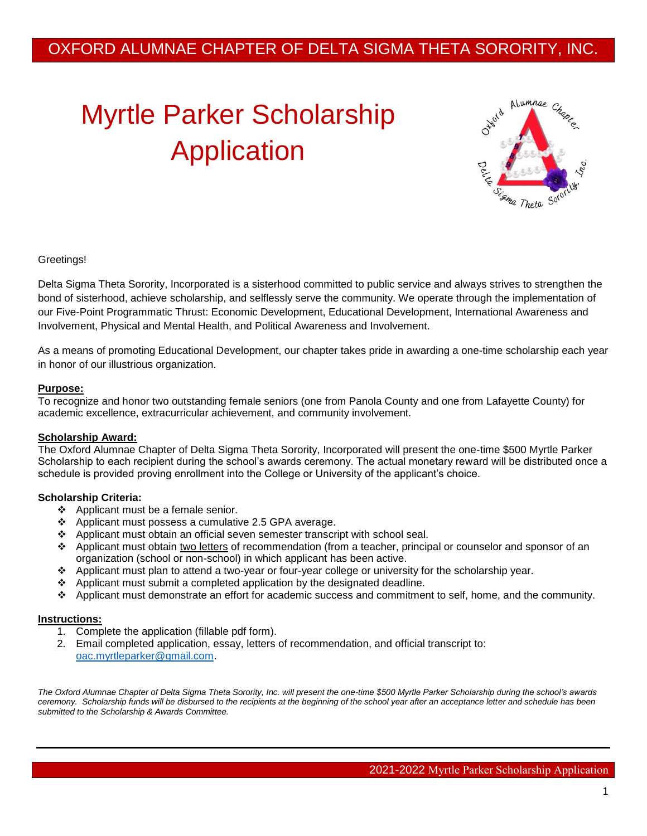# Myrtle Parker Scholarship Application



#### Greetings!

Delta Sigma Theta Sorority, Incorporated is a sisterhood committed to public service and always strives to strengthen the bond of sisterhood, achieve scholarship, and selflessly serve the community. We operate through the implementation of our Five-Point Programmatic Thrust: Economic Development, Educational Development, International Awareness and Involvement, Physical and Mental Health, and Political Awareness and Involvement.

As a means of promoting Educational Development, our chapter takes pride in awarding a one-time scholarship each year in honor of our illustrious organization.

#### **Purpose:**

To recognize and honor two outstanding female seniors (one from Panola County and one from Lafayette County) for academic excellence, extracurricular achievement, and community involvement.

#### **Scholarship Award:**

The Oxford Alumnae Chapter of Delta Sigma Theta Sorority, Incorporated will present the one-time \$500 Myrtle Parker Scholarship to each recipient during the school's awards ceremony. The actual monetary reward will be distributed once a schedule is provided proving enrollment into the College or University of the applicant's choice.

#### **Scholarship Criteria:**

- ❖ Applicant must be a female senior.
- Applicant must possess a cumulative 2.5 GPA average.
- Applicant must obtain an official seven semester transcript with school seal.
- Applicant must obtain two letters of recommendation (from a teacher, principal or counselor and sponsor of an organization (school or non-school) in which applicant has been active.
- Applicant must plan to attend a two-year or four-year college or university for the scholarship year.
- $\triangle$  Applicant must submit a completed application by the designated deadline.
- Applicant must demonstrate an effort for academic success and commitment to self, home, and the community.

#### **Instructions:**

- 1. Complete the application (fillable pdf form).
- 2. Email completed application, essay, letters of recommendation, and official transcript to: [oac.myrtleparker@gmail.com.](mailto:oac.myrtleparker@gmail.com)

*The Oxford Alumnae Chapter of Delta Sigma Theta Sorority, Inc. will present the one-time \$500 Myrtle Parker Scholarship during the school's awards ceremony. Scholarship funds will be disbursed to the recipients at the beginning of the school year after an acceptance letter and schedule has been submitted to the Scholarship & Awards Committee.*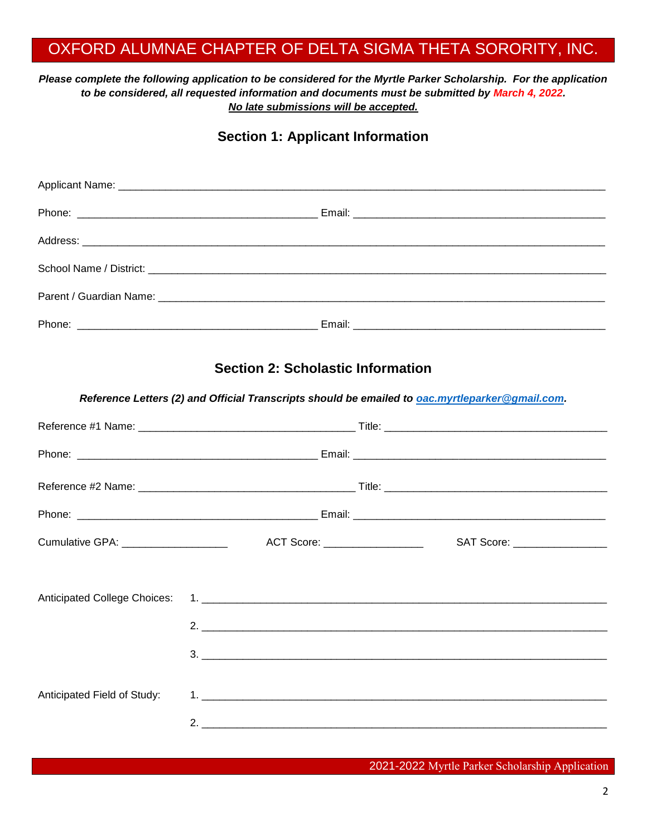#### *Please complete the following application to be considered for the Myrtle Parker Scholarship. For the application to be considered, all requested information and documents must be submitted by March 4, 2022. No late submissions will be accepted.*

## **Section 1: Applicant Information**

## **Section 2: Scholastic Information**

*Reference Letters (2) and Official Transcripts should be emailed to [oac.myrtleparker@gmail.com.](mailto:oac.myrtleparker@gmail.com)* 

| Cumulative GPA: ______________________ | ACT Score: <u>__________________</u> ____ | SAT Score: __________________ |
|----------------------------------------|-------------------------------------------|-------------------------------|
|                                        |                                           |                               |
|                                        |                                           |                               |
|                                        |                                           |                               |
|                                        |                                           |                               |
|                                        |                                           |                               |
| Anticipated Field of Study:            |                                           |                               |
|                                        |                                           | 2.                            |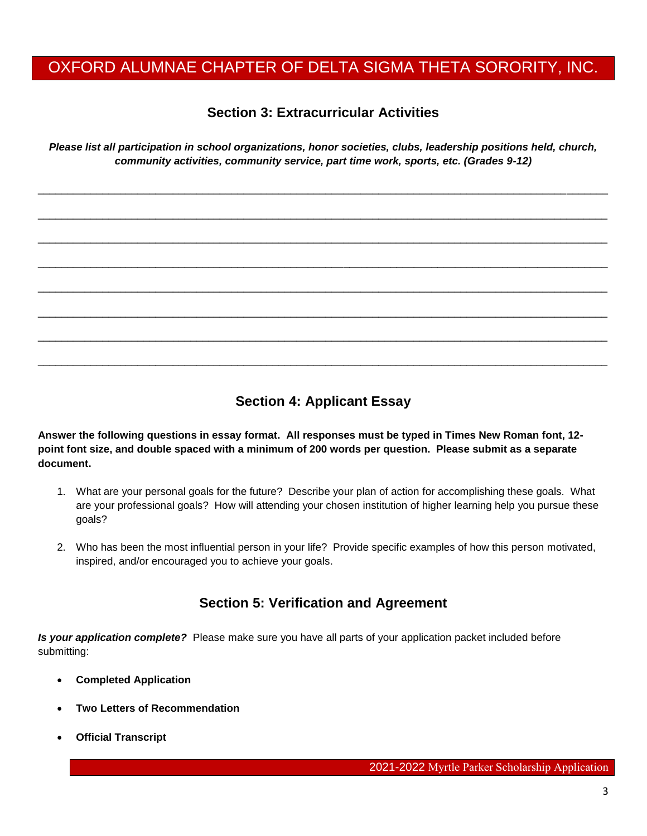## **Section 3: Extracurricular Activities**

*Please list all participation in school organizations, honor societies, clubs, leadership positions held, church, community activities, community service, part time work, sports, etc. (Grades 9-12)* 

 $\Box$ 

 $\Box$ 

\_\_\_\_\_\_\_\_\_\_\_\_\_\_\_\_\_\_\_\_\_\_\_\_\_\_\_\_\_\_\_\_\_\_\_\_\_\_\_\_\_\_\_\_\_\_\_\_\_\_\_\_\_\_\_\_\_\_\_\_\_\_\_\_\_\_\_\_\_\_\_\_\_\_\_\_\_\_\_\_\_\_\_\_\_\_\_\_\_\_\_\_\_\_\_\_\_

 $\Box$ 

\_\_\_\_\_\_\_\_\_\_\_\_\_\_\_\_\_\_\_\_\_\_\_\_\_\_\_\_\_\_\_\_\_\_\_\_\_\_\_\_\_\_\_\_\_\_\_\_\_\_\_\_\_\_\_\_\_\_\_\_\_\_\_\_\_\_\_\_\_\_\_\_\_\_\_\_\_\_\_\_\_\_\_\_\_\_\_\_\_\_\_\_\_\_\_\_\_

\_\_\_\_\_\_\_\_\_\_\_\_\_\_\_\_\_\_\_\_\_\_\_\_\_\_\_\_\_\_\_\_\_\_\_\_\_\_\_\_\_\_\_\_\_\_\_\_\_\_\_\_\_\_\_\_\_\_\_\_\_\_\_\_\_\_\_\_\_\_\_\_\_\_\_\_\_\_\_\_\_\_\_\_\_\_\_\_\_\_\_\_\_\_\_\_\_

\_\_\_\_\_\_\_\_\_\_\_\_\_\_\_\_\_\_\_\_\_\_\_\_\_\_\_\_\_\_\_\_\_\_\_\_\_\_\_\_\_\_\_\_\_\_\_\_\_\_\_\_\_\_\_\_\_\_\_\_\_\_\_\_\_\_\_\_\_\_\_\_\_\_\_\_\_\_\_\_\_\_\_\_\_\_\_\_\_\_\_\_\_\_\_\_\_

\_\_\_\_\_\_\_\_\_\_\_\_\_\_\_\_\_\_\_\_\_\_\_\_\_\_\_\_\_\_\_\_\_\_\_\_\_\_\_\_\_\_\_\_\_\_\_\_\_\_\_\_\_\_\_\_\_\_\_\_\_\_\_\_\_\_\_\_\_\_\_\_\_\_\_\_\_\_\_\_\_\_\_\_\_\_\_\_\_\_\_\_\_\_\_\_\_

## **Section 4: Applicant Essay**

**Answer the following questions in essay format. All responses must be typed in Times New Roman font, 12 point font size, and double spaced with a minimum of 200 words per question. Please submit as a separate document.** 

- 1. What are your personal goals for the future? Describe your plan of action for accomplishing these goals. What are your professional goals? How will attending your chosen institution of higher learning help you pursue these goals?
- 2. Who has been the most influential person in your life? Provide specific examples of how this person motivated, inspired, and/or encouraged you to achieve your goals.

### **Section 5: Verification and Agreement**

*Is your application complete?* Please make sure you have all parts of your application packet included before submitting:

- **Completed Application**
- **Two Letters of Recommendation**
- **Official Transcript**